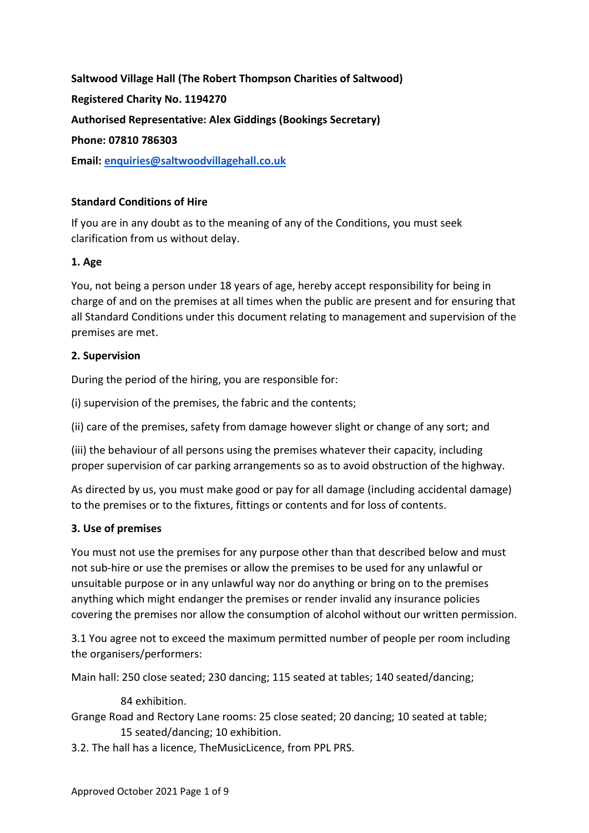**Saltwood Village Hall (The Robert Thompson Charities of Saltwood) Registered Charity No. 1194270 Authorised Representative: Alex Giddings (Bookings Secretary) Phone: 07810 786303 Email: [enquiries@saltwoodvillagehall.co.uk](mailto:enquiries@saltwoodvillagehall.co.uk)**

## **Standard Conditions of Hire**

If you are in any doubt as to the meaning of any of the Conditions, you must seek clarification from us without delay.

## **1. Age**

You, not being a person under 18 years of age, hereby accept responsibility for being in charge of and on the premises at all times when the public are present and for ensuring that all Standard Conditions under this document relating to management and supervision of the premises are met.

## **2. Supervision**

During the period of the hiring, you are responsible for:

(i) supervision of the premises, the fabric and the contents;

(ii) care of the premises, safety from damage however slight or change of any sort; and

(iii) the behaviour of all persons using the premises whatever their capacity, including proper supervision of car parking arrangements so as to avoid obstruction of the highway.

As directed by us, you must make good or pay for all damage (including accidental damage) to the premises or to the fixtures, fittings or contents and for loss of contents.

## **3. Use of premises**

You must not use the premises for any purpose other than that described below and must not sub-hire or use the premises or allow the premises to be used for any unlawful or unsuitable purpose or in any unlawful way nor do anything or bring on to the premises anything which might endanger the premises or render invalid any insurance policies covering the premises nor allow the consumption of alcohol without our written permission.

3.1 You agree not to exceed the maximum permitted number of people per room including the organisers/performers:

Main hall: 250 close seated; 230 dancing; 115 seated at tables; 140 seated/dancing;

84 exhibition.

Grange Road and Rectory Lane rooms: 25 close seated; 20 dancing; 10 seated at table; 15 seated/dancing; 10 exhibition.

3.2. The hall has a licence, TheMusicLicence, from PPL PRS.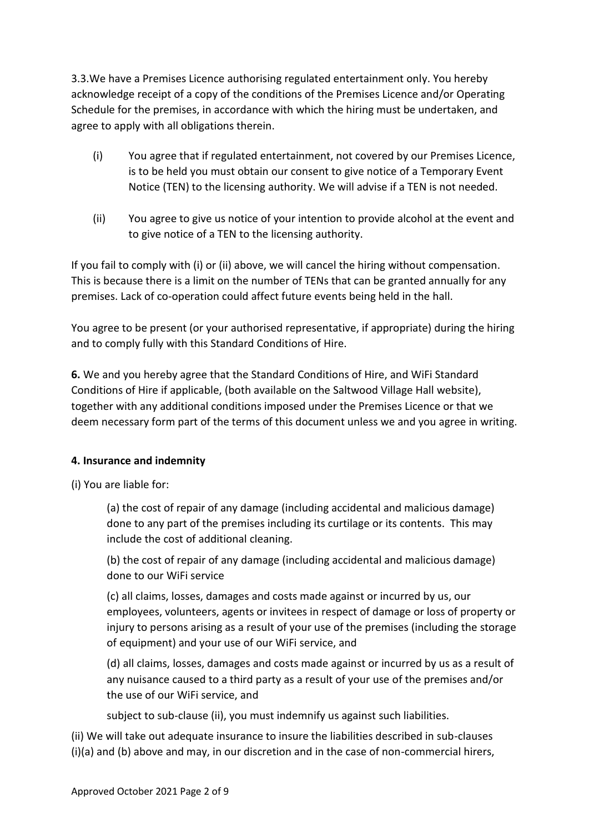3.3.We have a Premises Licence authorising regulated entertainment only. You hereby acknowledge receipt of a copy of the conditions of the Premises Licence and/or Operating Schedule for the premises, in accordance with which the hiring must be undertaken, and agree to apply with all obligations therein.

- (i) You agree that if regulated entertainment, not covered by our Premises Licence, is to be held you must obtain our consent to give notice of a Temporary Event Notice (TEN) to the licensing authority. We will advise if a TEN is not needed.
- (ii) You agree to give us notice of your intention to provide alcohol at the event and to give notice of a TEN to the licensing authority.

If you fail to comply with (i) or (ii) above, we will cancel the hiring without compensation. This is because there is a limit on the number of TENs that can be granted annually for any premises. Lack of co-operation could affect future events being held in the hall.

You agree to be present (or your authorised representative, if appropriate) during the hiring and to comply fully with this Standard Conditions of Hire.

**6.** We and you hereby agree that the Standard Conditions of Hire, and WiFi Standard Conditions of Hire if applicable, (both available on the Saltwood Village Hall website), together with any additional conditions imposed under the Premises Licence or that we deem necessary form part of the terms of this document unless we and you agree in writing.

# **4. Insurance and indemnity**

(i) You are liable for:

(a) the cost of repair of any damage (including accidental and malicious damage) done to any part of the premises including its curtilage or its contents. This may include the cost of additional cleaning.

(b) the cost of repair of any damage (including accidental and malicious damage) done to our WiFi service

(c) all claims, losses, damages and costs made against or incurred by us, our employees, volunteers, agents or invitees in respect of damage or loss of property or injury to persons arising as a result of your use of the premises (including the storage of equipment) and your use of our WiFi service, and

(d) all claims, losses, damages and costs made against or incurred by us as a result of any nuisance caused to a third party as a result of your use of the premises and/or the use of our WiFi service, and

subject to sub-clause (ii), you must indemnify us against such liabilities.

(ii) We will take out adequate insurance to insure the liabilities described in sub-clauses (i)(a) and (b) above and may, in our discretion and in the case of non-commercial hirers,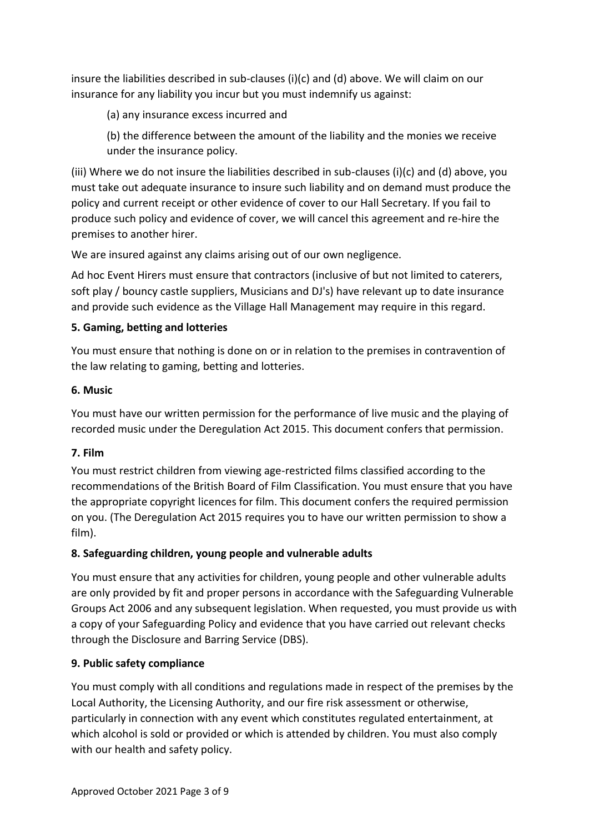insure the liabilities described in sub-clauses (i)(c) and (d) above. We will claim on our insurance for any liability you incur but you must indemnify us against:

- (a) any insurance excess incurred and
- (b) the difference between the amount of the liability and the monies we receive under the insurance policy.

(iii) Where we do not insure the liabilities described in sub-clauses (i)(c) and (d) above, you must take out adequate insurance to insure such liability and on demand must produce the policy and current receipt or other evidence of cover to our Hall Secretary. If you fail to produce such policy and evidence of cover, we will cancel this agreement and re-hire the premises to another hirer.

We are insured against any claims arising out of our own negligence.

Ad hoc Event Hirers must ensure that contractors (inclusive of but not limited to caterers, soft play / bouncy castle suppliers, Musicians and DJ's) have relevant up to date insurance and provide such evidence as the Village Hall Management may require in this regard.

## **5. Gaming, betting and lotteries**

You must ensure that nothing is done on or in relation to the premises in contravention of the law relating to gaming, betting and lotteries.

## **6. Music**

You must have our written permission for the performance of live music and the playing of recorded music under the Deregulation Act 2015. This document confers that permission.

## **7. Film**

You must restrict children from viewing age-restricted films classified according to the recommendations of the British Board of Film Classification. You must ensure that you have the appropriate copyright licences for film. This document confers the required permission on you. (The Deregulation Act 2015 requires you to have our written permission to show a film).

# **8. Safeguarding children, young people and vulnerable adults**

You must ensure that any activities for children, young people and other vulnerable adults are only provided by fit and proper persons in accordance with the Safeguarding Vulnerable Groups Act 2006 and any subsequent legislation. When requested, you must provide us with a copy of your Safeguarding Policy and evidence that you have carried out relevant checks through the Disclosure and Barring Service (DBS).

## **9. Public safety compliance**

You must comply with all conditions and regulations made in respect of the premises by the Local Authority, the Licensing Authority, and our fire risk assessment or otherwise, particularly in connection with any event which constitutes regulated entertainment, at which alcohol is sold or provided or which is attended by children. You must also comply with our health and safety policy.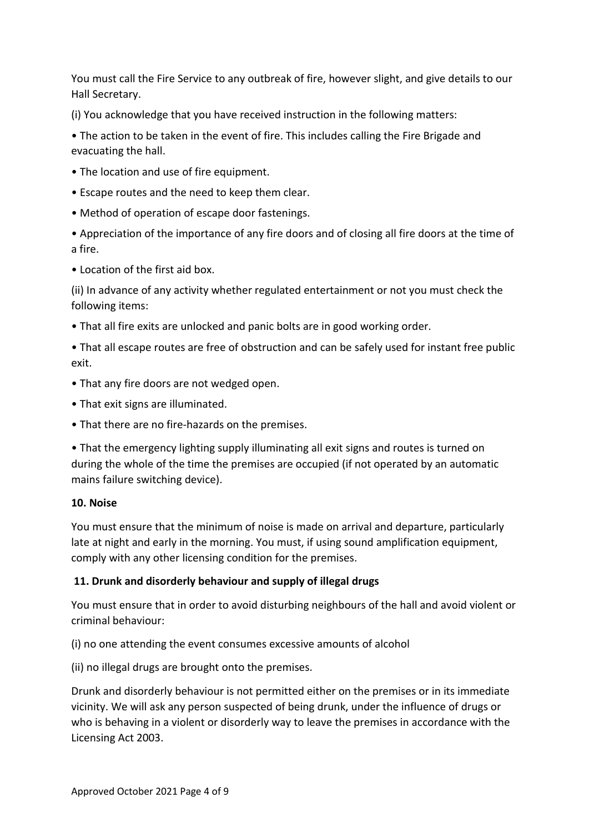You must call the Fire Service to any outbreak of fire, however slight, and give details to our Hall Secretary.

(i) You acknowledge that you have received instruction in the following matters:

• The action to be taken in the event of fire. This includes calling the Fire Brigade and evacuating the hall.

- The location and use of fire equipment.
- Escape routes and the need to keep them clear.
- Method of operation of escape door fastenings.

• Appreciation of the importance of any fire doors and of closing all fire doors at the time of a fire.

• Location of the first aid box.

(ii) In advance of any activity whether regulated entertainment or not you must check the following items:

• That all fire exits are unlocked and panic bolts are in good working order.

• That all escape routes are free of obstruction and can be safely used for instant free public exit.

- That any fire doors are not wedged open.
- That exit signs are illuminated.
- That there are no fire-hazards on the premises.

• That the emergency lighting supply illuminating all exit signs and routes is turned on during the whole of the time the premises are occupied (if not operated by an automatic mains failure switching device).

## **10. Noise**

You must ensure that the minimum of noise is made on arrival and departure, particularly late at night and early in the morning. You must, if using sound amplification equipment, comply with any other licensing condition for the premises.

# **11. Drunk and disorderly behaviour and supply of illegal drugs**

You must ensure that in order to avoid disturbing neighbours of the hall and avoid violent or criminal behaviour:

(i) no one attending the event consumes excessive amounts of alcohol

(ii) no illegal drugs are brought onto the premises.

Drunk and disorderly behaviour is not permitted either on the premises or in its immediate vicinity. We will ask any person suspected of being drunk, under the influence of drugs or who is behaving in a violent or disorderly way to leave the premises in accordance with the Licensing Act 2003.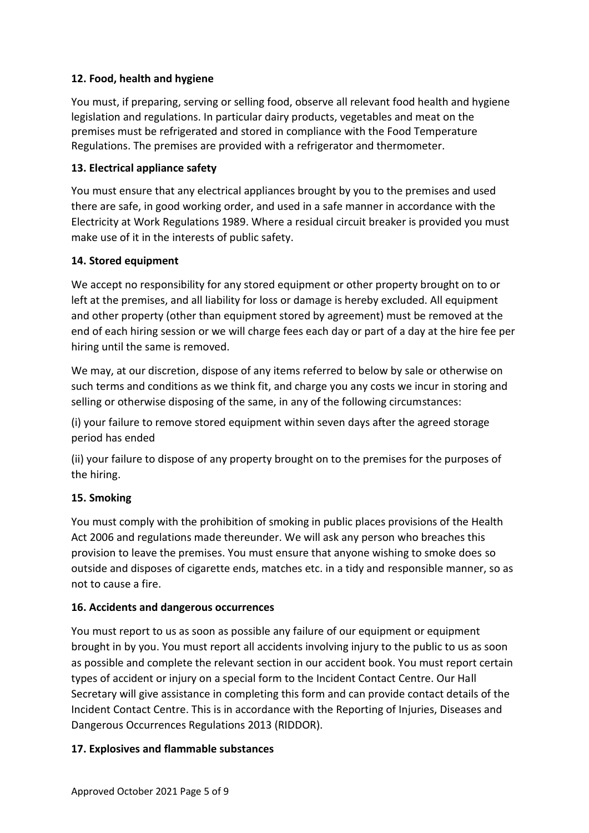## **12. Food, health and hygiene**

You must, if preparing, serving or selling food, observe all relevant food health and hygiene legislation and regulations. In particular dairy products, vegetables and meat on the premises must be refrigerated and stored in compliance with the Food Temperature Regulations. The premises are provided with a refrigerator and thermometer.

## **13. Electrical appliance safety**

You must ensure that any electrical appliances brought by you to the premises and used there are safe, in good working order, and used in a safe manner in accordance with the Electricity at Work Regulations 1989. Where a residual circuit breaker is provided you must make use of it in the interests of public safety.

## **14. Stored equipment**

We accept no responsibility for any stored equipment or other property brought on to or left at the premises, and all liability for loss or damage is hereby excluded. All equipment and other property (other than equipment stored by agreement) must be removed at the end of each hiring session or we will charge fees each day or part of a day at the hire fee per hiring until the same is removed.

We may, at our discretion, dispose of any items referred to below by sale or otherwise on such terms and conditions as we think fit, and charge you any costs we incur in storing and selling or otherwise disposing of the same, in any of the following circumstances:

(i) your failure to remove stored equipment within seven days after the agreed storage period has ended

(ii) your failure to dispose of any property brought on to the premises for the purposes of the hiring.

## **15. Smoking**

You must comply with the prohibition of smoking in public places provisions of the Health Act 2006 and regulations made thereunder. We will ask any person who breaches this provision to leave the premises. You must ensure that anyone wishing to smoke does so outside and disposes of cigarette ends, matches etc. in a tidy and responsible manner, so as not to cause a fire.

## **16. Accidents and dangerous occurrences**

You must report to us as soon as possible any failure of our equipment or equipment brought in by you. You must report all accidents involving injury to the public to us as soon as possible and complete the relevant section in our accident book. You must report certain types of accident or injury on a special form to the Incident Contact Centre. Our Hall Secretary will give assistance in completing this form and can provide contact details of the Incident Contact Centre. This is in accordance with the Reporting of Injuries, Diseases and Dangerous Occurrences Regulations 2013 (RIDDOR).

## **17. Explosives and flammable substances**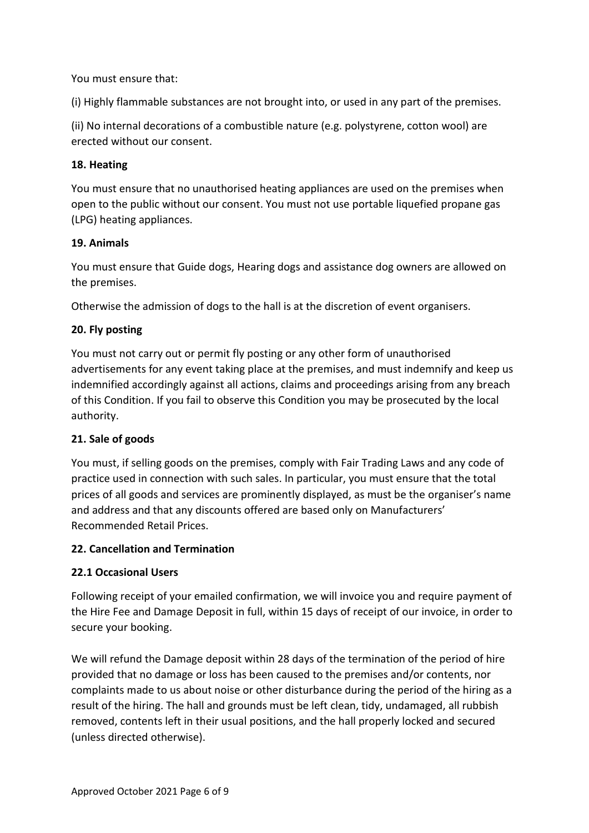You must ensure that:

(i) Highly flammable substances are not brought into, or used in any part of the premises.

(ii) No internal decorations of a combustible nature (e.g. polystyrene, cotton wool) are erected without our consent.

### **18. Heating**

You must ensure that no unauthorised heating appliances are used on the premises when open to the public without our consent. You must not use portable liquefied propane gas (LPG) heating appliances.

## **19. Animals**

You must ensure that Guide dogs, Hearing dogs and assistance dog owners are allowed on the premises.

Otherwise the admission of dogs to the hall is at the discretion of event organisers.

## **20. Fly posting**

You must not carry out or permit fly posting or any other form of unauthorised advertisements for any event taking place at the premises, and must indemnify and keep us indemnified accordingly against all actions, claims and proceedings arising from any breach of this Condition. If you fail to observe this Condition you may be prosecuted by the local authority.

## **21. Sale of goods**

You must, if selling goods on the premises, comply with Fair Trading Laws and any code of practice used in connection with such sales. In particular, you must ensure that the total prices of all goods and services are prominently displayed, as must be the organiser's name and address and that any discounts offered are based only on Manufacturers' Recommended Retail Prices.

#### **22. Cancellation and Termination**

## **22.1 Occasional Users**

Following receipt of your emailed confirmation, we will invoice you and require payment of the Hire Fee and Damage Deposit in full, within 15 days of receipt of our invoice, in order to secure your booking.

We will refund the Damage deposit within 28 days of the termination of the period of hire provided that no damage or loss has been caused to the premises and/or contents, nor complaints made to us about noise or other disturbance during the period of the hiring as a result of the hiring. The hall and grounds must be left clean, tidy, undamaged, all rubbish removed, contents left in their usual positions, and the hall properly locked and secured (unless directed otherwise).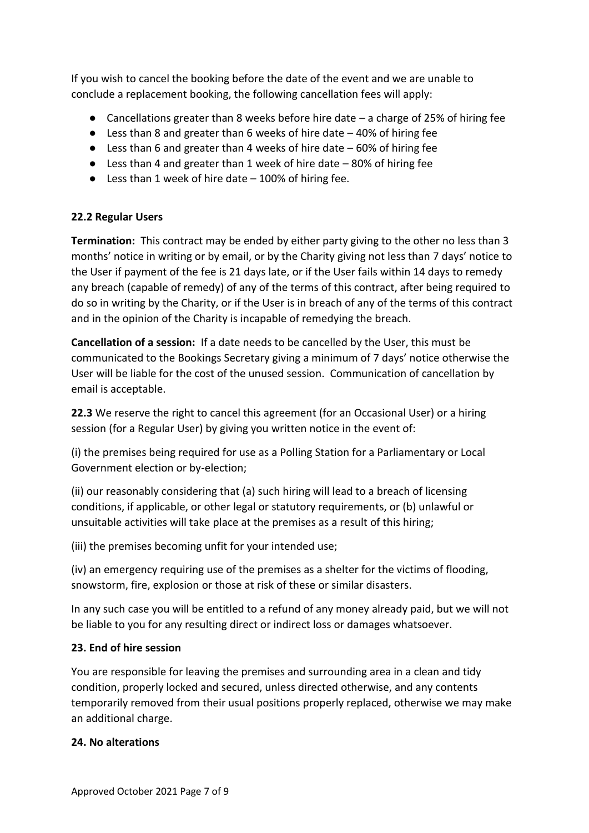If you wish to cancel the booking before the date of the event and we are unable to conclude a replacement booking, the following cancellation fees will apply:

- Cancellations greater than 8 weeks before hire date a charge of 25% of hiring fee
- $\bullet$  Less than 8 and greater than 6 weeks of hire date  $-40\%$  of hiring fee
- Less than 6 and greater than 4 weeks of hire date 60% of hiring fee
- Less than 4 and greater than 1 week of hire date 80% of hiring fee
- Less than 1 week of hire date 100% of hiring fee.

## **22.2 Regular Users**

**Termination:** This contract may be ended by either party giving to the other no less than 3 months' notice in writing or by email, or by the Charity giving not less than 7 days' notice to the User if payment of the fee is 21 days late, or if the User fails within 14 days to remedy any breach (capable of remedy) of any of the terms of this contract, after being required to do so in writing by the Charity, or if the User is in breach of any of the terms of this contract and in the opinion of the Charity is incapable of remedying the breach.

**Cancellation of a session:** If a date needs to be cancelled by the User, this must be communicated to the Bookings Secretary giving a minimum of 7 days' notice otherwise the User will be liable for the cost of the unused session. Communication of cancellation by email is acceptable.

**22.3** We reserve the right to cancel this agreement (for an Occasional User) or a hiring session (for a Regular User) by giving you written notice in the event of:

(i) the premises being required for use as a Polling Station for a Parliamentary or Local Government election or by-election;

(ii) our reasonably considering that (a) such hiring will lead to a breach of licensing conditions, if applicable, or other legal or statutory requirements, or (b) unlawful or unsuitable activities will take place at the premises as a result of this hiring;

(iii) the premises becoming unfit for your intended use;

(iv) an emergency requiring use of the premises as a shelter for the victims of flooding, snowstorm, fire, explosion or those at risk of these or similar disasters.

In any such case you will be entitled to a refund of any money already paid, but we will not be liable to you for any resulting direct or indirect loss or damages whatsoever.

## **23. End of hire session**

You are responsible for leaving the premises and surrounding area in a clean and tidy condition, properly locked and secured, unless directed otherwise, and any contents temporarily removed from their usual positions properly replaced, otherwise we may make an additional charge.

## **24. No alterations**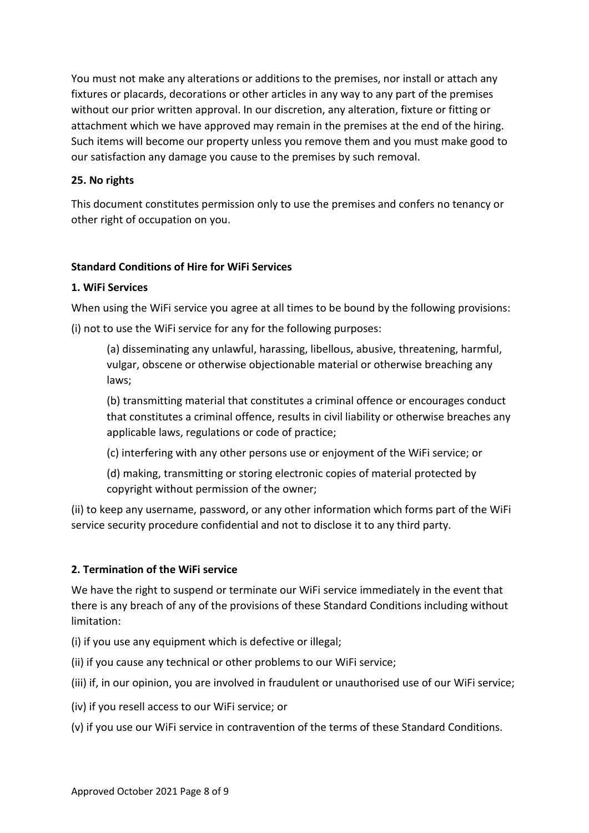You must not make any alterations or additions to the premises, nor install or attach any fixtures or placards, decorations or other articles in any way to any part of the premises without our prior written approval. In our discretion, any alteration, fixture or fitting or attachment which we have approved may remain in the premises at the end of the hiring. Such items will become our property unless you remove them and you must make good to our satisfaction any damage you cause to the premises by such removal.

## **25. No rights**

This document constitutes permission only to use the premises and confers no tenancy or other right of occupation on you.

## **Standard Conditions of Hire for WiFi Services**

## **1. WiFi Services**

When using the WiFi service you agree at all times to be bound by the following provisions:

(i) not to use the WiFi service for any for the following purposes:

(a) disseminating any unlawful, harassing, libellous, abusive, threatening, harmful, vulgar, obscene or otherwise objectionable material or otherwise breaching any laws;

(b) transmitting material that constitutes a criminal offence or encourages conduct that constitutes a criminal offence, results in civil liability or otherwise breaches any applicable laws, regulations or code of practice;

(c) interfering with any other persons use or enjoyment of the WiFi service; or

(d) making, transmitting or storing electronic copies of material protected by copyright without permission of the owner;

(ii) to keep any username, password, or any other information which forms part of the WiFi service security procedure confidential and not to disclose it to any third party.

# **2. Termination of the WiFi service**

We have the right to suspend or terminate our WiFi service immediately in the event that there is any breach of any of the provisions of these Standard Conditions including without limitation:

(i) if you use any equipment which is defective or illegal;

(ii) if you cause any technical or other problems to our WiFi service;

(iii) if, in our opinion, you are involved in fraudulent or unauthorised use of our WiFi service;

(iv) if you resell access to our WiFi service; or

(v) if you use our WiFi service in contravention of the terms of these Standard Conditions.